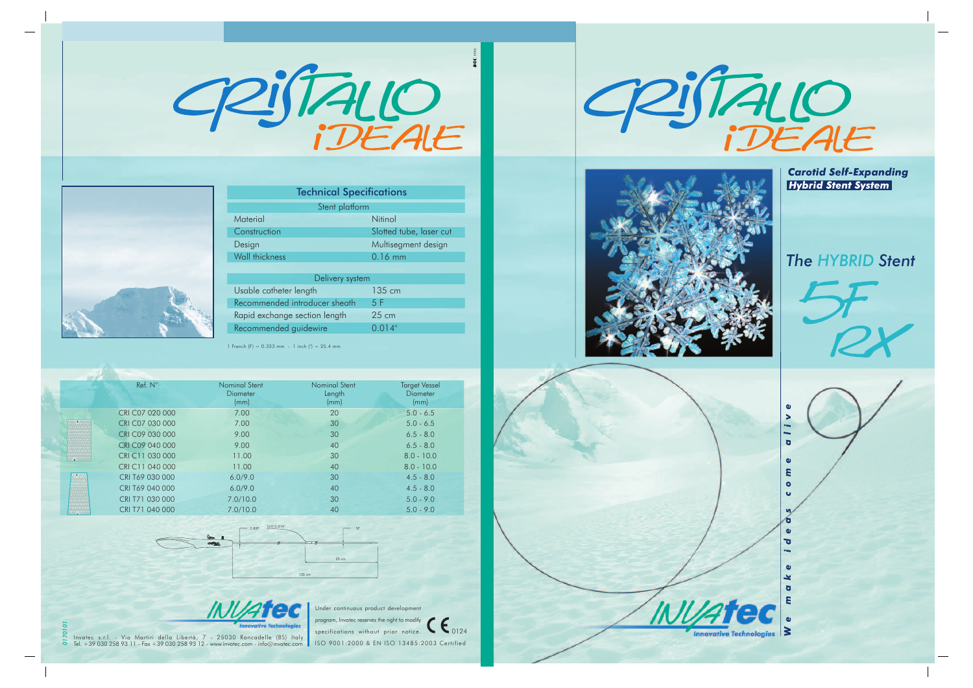0906 PIJTALIO



| <b>Technical Specifications</b>         |                 |  |  |  |
|-----------------------------------------|-----------------|--|--|--|
| Stent platform                          |                 |  |  |  |
| Material                                | Nitinol         |  |  |  |
| Slotted tube, laser cut<br>Construction |                 |  |  |  |
| Multisegment design<br>Design           |                 |  |  |  |
| Wall thickness                          | $0.16$ mm       |  |  |  |
|                                         |                 |  |  |  |
| Delivery system                         |                 |  |  |  |
| Usable catheter length                  | 135 cm          |  |  |  |
| Recommended introducer sheath           | 5 F             |  |  |  |
| Rapid exchange section length           | $25 \text{ cm}$ |  |  |  |
| Recommended guidewire                   | 0.014"          |  |  |  |

1 French (F) =  $0.333$  mm  $-1$  inch (") = 25.4 mm

|              | Ref. N°         | Nominal Stent<br><b>Diameter</b><br>(mm) | Nominal Stent<br>Length<br>(mm) | <b>Target Vessel</b><br><b>Diameter</b><br>(mm) |  |
|--------------|-----------------|------------------------------------------|---------------------------------|-------------------------------------------------|--|
|              | CRI C07 020 000 | 7.00                                     | 20                              | $5.0 - 6.5$                                     |  |
|              | CRI C07 030 000 | 7.00                                     | 30                              | $5.0 - 6.5$                                     |  |
|              | CRI C09 030 000 | 9.00                                     | 30                              | $6.5 - 8.0$                                     |  |
|              | CRI C09 040 000 | 9.00                                     | 40                              | $6.5 - 8.0$                                     |  |
| ITY MILITARY | CRI C11 030 000 | 11.00                                    | 30                              | $8.0 - 10.0$                                    |  |
|              | CRI C11 040 000 | 11.00                                    | 40                              | $8.0 - 10.0$                                    |  |
|              | CRI T69 030 000 | 6.0/9.0                                  | 30                              | $4.5 - 8.0$                                     |  |
|              | CRI T69 040 000 | 6.0/9.0                                  | 40                              | $4.5 - 8.0$                                     |  |
|              | CRI T71 030 000 | 7.0/10.0                                 | 30                              | $5.0 - 9.0$                                     |  |
|              | CRI T71 040 000 | 7.0/10.0                                 | 40                              | $5.0 - 9.0$                                     |  |





*0170101* Invatec s.r.l. - Via Martiri della Libertà, 7 - 25030 Roncadelle (BS) Italy Tel. +39 030 258 93 11 - Fax +39 030 258 93 12 - www.invatec.com - info@invatec.com

 $\sum_{0124}$ ISO 9001:2000 & EN ISO 13485:2003 Certified program, Invatec reserves the right to modify specifications without prior notice.





**Carotid Self-Expanding Hybrid Stent System** 

## *The HYBRID Stent*